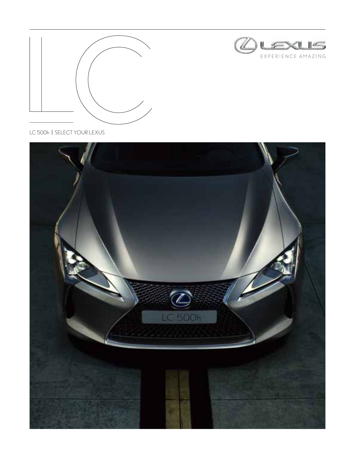



LC 500h | SELECT YOUR LEXUS

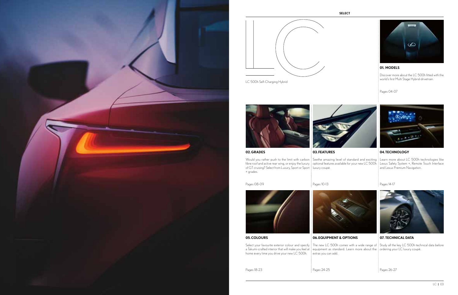### **01. MODELS**

 Discover more about the LC 500h fitted with the world's first Multi Stage Hybrid drivetrain.

Pages 04-07



**02. GRADES** 



Would you rather push to the limit with carbon | Seethe amazing level of standard and exciting | Learn more about LC 500h technologies like fibre roof and active rear wing, or enjoy the luxury | optional features available for your new LC 500h | Lexus Safety System +, Remote Touch Interface of GT cruising? Select from Luxury, Sport or Sport luxury coupé. + grades.

Pages 08-09

**04. TECHNOLOGY** 

and Lexus Premium Navigation.

a Takumi-crafted interior that will make you feel at home every time you drive your new LC 500h.

Pages 14-17



**03. FEATURES** 

Pages 10-13



**05. COLOURS** 



Pages 18-23

**06. EQUIPMENT & OPTIONS** 

extras you can add.

Pages 24-25



### **07. TECHNICAL DATA**

Select your favourite exterior colour and specify | The new LC 500h comes with a wide range of | Study all the key LC 500h technical data before equipment as standard. Learn more about the | ordering your LC luxury coupé.

Pages 26-27





LC 500h Self-Charging Hybrid

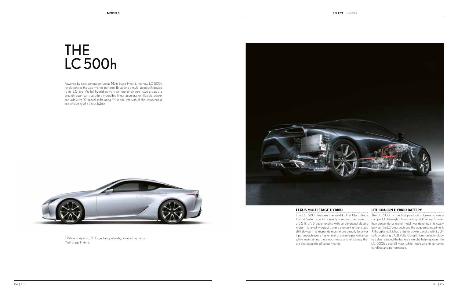Powered by next generation Lexus Multi Stage Hybrid, the new LC 500h revolutionises the way hybrids perform. By adding a multi-stage shift device to its 3.5-litre V6 full hybrid powertrain, our engineers have created a breakthrough car that offers incredible linear acceleration, flexible power and addictive 10-speed shifts using 'M' mode, yet with all the smoothness and efficiency of a Lexus hybrid.



# THE LC 500h

 F White bodywork, 21" forged alloy wheels, powered by Lexus Multi Stage Hybrid.



#### **LEXUS MULTI STAGE HYBRID**

Hybrid System – which cleverly combines the power of are characteristic of Lexus hybrids.

#### **LITHIUM-ION HYBRID BATTERY**

 The LC 500h features the world's first Multi Stage The LC 500h is the first production Lexus to use a a 3.5-litre V6 petrol engine with an advanced electric than conventional nickel-metal hydride units, it fits neatly motor – to amplify output using a pioneering four-stage between the LC's rear seats and the luggage compartment. shift device. This responds much more directly to driver Although small, it has a higher power density, with its 84 input and achieves a higher level of dynamic performance, cells producing 310.8 Volts. Using lithium-ion technology while maintaining the smoothness and efficiency that has also reduced the battery's weight, helping lower the compact, lightweight, lithium-ion hybrid battery. Smaller LC 500h's overall mass while improving its dynamic handling and performance.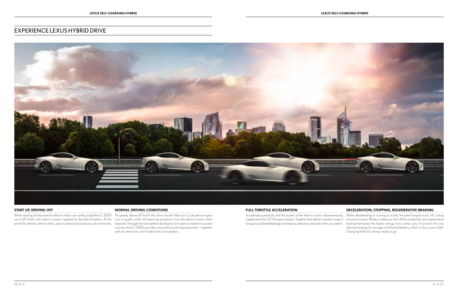#### **START UP, DRIVING OFF**

When starting off, the powerful electric motor can swiftly propel the LC 500h At speeds above 65 km/h the ultra-smooth Atkinson Cycle petrol engine up to 65 km/h, with electric power supplied by the hybrid battery. At this cuts in quietly, while still receiving assistance from the electric motor when point the vehicle is almost silent, uses no petrol and produces zero emissions.

#### **NORMAL DRIVING CONDITIONS**

required. Through the near perfect distribution of its petrol and electric power sources, the LC 500h provides extraordinary driving enjoyment – together with low emissions and modest fuel consumption.

#### **FULL THROTTLE ACCELERATION**

#### **DECELERATION, STOPPING, REGENERATIVE BRAKING**

 Accelerate powerfully and the power of the electric motor instantaneously When decelerating or coming to a halt, the petrol engine turns off, cutting supplements the 3.5-litre petrol engine. Together they deliver a potent surge of torque to give breathtakingly fast linear acceleration precisely when you need it. emissions to zero. Brake, or take your foot off the accelerator, and regenerative braking harnesses the kinetic energy lost in other cars. It converts this into electrical energy for storage in the hybrid battery, which is why a Lexus Self-Charging Hybrid is always ready to go.

## EXPERIENCE LEXUS HYBRID DRIVE

![](_page_3_Picture_3.jpeg)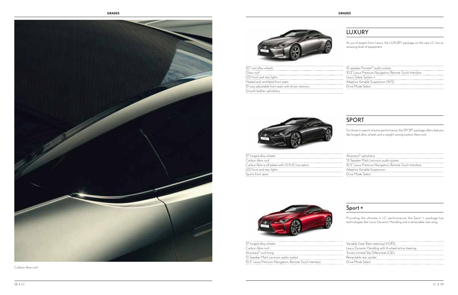![](_page_4_Picture_1.jpeg)

 As you'd expect from Lexus, the LUXURY package on the new LC has an amazing level of equipment.

Carbon-fibre roof

![](_page_4_Picture_3.jpeg)

## LUXURY

### Sport +

 Providing the ultimate in LC performance, the Sport + package has technologies like Lexus Dynamic Handling and a retractable rear wing.

## SPORT

 For those in search of extra performance, the SPORT package offers features like forged alloy wheels and a weight-saving carbon fibre roof.

| 21" forged alloy wheels                          |
|--------------------------------------------------|
| Carbon-fibre roof                                |
| Carbon fibre scuff plates with LEXUS inscription |
| LED front and rear lights                        |
| Sports front seats                               |

![](_page_4_Picture_7.jpeg)

| Alcantara <sup>®</sup> upholstery                      |
|--------------------------------------------------------|
| 13-Speaker Mark Levinson audio system                  |
| 10.3" Lexus Premium Navigation, Remote Touch Interface |
| Adaptive Variable Suspension                           |
| Drive Mode Select                                      |

| 21" forged alloy wheels                                |
|--------------------------------------------------------|
| Carbon-fibre roof                                      |
| Alcantara <sup>®</sup> roof lining                     |
| 13-Speaker Mark Levinson audio system                  |
| 10.3" Lexus Premium Navigation, Remote Touch Interface |

| Variable Gear Ratio steering (VGRS)                 |
|-----------------------------------------------------|
| Lexus Dynamic Handling with 4-wheel active steering |
| Torsen Limited Slip Differential (LSD)              |
| Retractable rear spoiler                            |
| Drive Mode Select                                   |
|                                                     |

| 20" cast alloy wheels                            |
|--------------------------------------------------|
| Glass roof                                       |
| LED front and rear lights                        |
| Heated and ventilated front seats                |
| 10-way adjustable front seats with driver memory |
| Smooth leather upholstery                        |

![](_page_4_Picture_5.jpeg)

| 12-speaker Pioneer® audio system                       |
|--------------------------------------------------------|
| 10.3" Lexus Premium Navigation, Remote Touch Interface |
| Lexus Safety System +                                  |
| Adaptive Variable Suspension (AVS)                     |
| Drive Mode Select                                      |
|                                                        |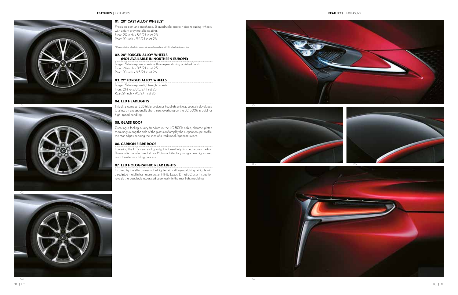![](_page_5_Picture_2.jpeg)

#### **01. 20" CAST ALLOY WHEELS\***

 Precision cast and machined, 5-quadruple-spoke noise reducing wheels, with a dark grey metallic coating. Front: 20-inch x 8.5/2J, inset 25 Rear: 20-inch x 9.5/2J, inset 26

\* Please note that wheels for snow chains are also available with this wheel design and size

#### **02. 20" FORGED ALLOY WHEELS (NOT AVAILABLE IN NORTHERN EUROPE)**

 Forged 5-twin-spoke wheels with an eye-catching polished finish. Front: 20-inch x 8.5/2J, inset 25 Rear: 20-inch x 9.5/2J, inset 26

#### **03. 21" FORGED ALLOY WHEELS**

 Forged 5-twin-spoke lightweight wheels. Front: 21-inch x 8.5/2J, inset 25 Rear: 21-inch x 9.5/2J, inset 26

#### **04. LED HEADLIGHTS**

 This ultra-compact LED triple-projector headlight unit was specially developed to allow an exceptionally short front overhang on the LC 500h, crucial for high-speed handling.

#### **05. GLASS ROOF**

 Creating a feeling of airy freedom in the LC 500h cabin, chrome-plated mouldings along the side of the glass roof amplify the elegant coupé profile, the rear edges echoing the lines of a traditional Japanese sword.

### **06. CARBON FIBRE ROOF**

 Lowering the LC's centre of gravity, this beautifully finished woven carbon fibre roof is manufactured at our Motomachi factory using a new high-speed resin transfer moulding process.

#### **07. LED HOLOGRAPHIC REAR LIGHTS**

 Inspired by the afterburners of jet fighter aircraft, eye-catching taillights with a sculpted metallic frame project an infinite Lexus 'L' motif. Closer inspection reveals the boot lock integrated seamlessly in the rear light moulding.

![](_page_5_Picture_20.jpeg)

![](_page_5_Picture_3.jpeg)

![](_page_5_Picture_4.jpeg)

03

![](_page_5_Picture_21.jpeg)

![](_page_5_Picture_22.jpeg)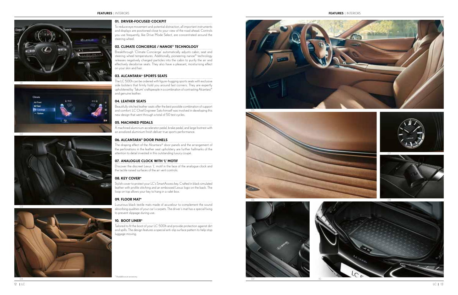![](_page_6_Picture_32.jpeg)

#### **01. DRIVER-FOCUSED COCKPIT**

 To reduce eye movement and potential distraction, all important instruments and displays are positioned close to your view of the road ahead. Controls you use frequently, like Drive Mode Select, are concentrated around the steering wheel.

#### **02. CLIMATE CONCIERGE / NANOE ® TECHNOLOGY**

 Breakthrough 'Climate Concierge' automatically adjusts cabin, seat and steering wheel temperatures. Additionally, pioneering nanoe ® technology releases negatively charged particles into the cabin to purify the air and effectively deodorise seats. They also have a pleasant, moisturising effect on your skin and hair.

### **03. ALCANTARA® SPORTS SEATS**

 The LC 500h can be ordered with figure-hugging sports seats with exclusive side bolsters that firmly hold you around fast corners. They are expertly upholstered by 'Takumi' craftspeople in a combination of contrasting Alcantara ® and genuine leather.

#### **04. LEATHER SEATS**

 Beautifully stitched leather seats offer the best possible combination of support and comfort. LC Chief Engineer Sato himself was involved in developing this new design that went through a total of 50 test cycles.

#### **05. MACHINED PEDALS**

 A machined aluminium accelerator pedal, brake pedal, and large footrest with an anodized aluminium finish deliver true sports performance.

#### **06. ALCANTARA® DOOR PANELS**

 The draping effect of the Alcantara ® door panels and the arrangement of the perforations in the leather seat upholstery are further hallmarks of the attention to detail invested in this outstanding luxury coupé.

#### **07. ANALOGUE CLOCK WITH 'L' MOTIF**

 Discover the discreet Lexus 'L' motif in the face of the analogue clock and the tactile raised surfaces of the air vent controls.

#### **08. KEY COVER\***

 Stylish cover to protect your LC's SmartAccess key. Crafted in black simulated leather with profile stitching and an embossed Lexus logo on the back. The loop on top allows your key to hang in a valet box.

#### **09. FLOOR MAT\***

 Luxurious black textile mats made of acuvelour to complement the sound absorbing qualities of your car's carpets. The driver's mat has a special fixing to prevent slippage during use.

### **10. BOOT LINER\***

 Tailored to fit the boot of your LC 500h and provide protection against dirt and spills. The design features a special anti-slip surface pattern to help stop luggage moving.

![](_page_6_Picture_26.jpeg)

![](_page_6_Picture_27.jpeg)

![](_page_6_Picture_28.jpeg)

![](_page_6_Picture_34.jpeg)

![](_page_6_Picture_33.jpeg)

![](_page_6_Picture_29.jpeg)

![](_page_6_Picture_2.jpeg)

![](_page_6_Picture_4.jpeg)

![](_page_6_Picture_3.jpeg)

![](_page_6_Picture_5.jpeg)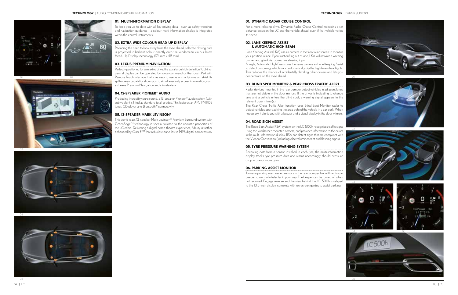![](_page_7_Picture_2.jpeg)

![](_page_7_Picture_3.jpeg)

#### **01. MULTI-INFORMATION DISPLAY**

 To keep you up-to-date with all key driving data – such as safety warnings and navigation guidance - a colour multi-information display is integrated within the central instruments.

#### **02. EXTRA-WIDE COLOUR HEAD-UP DISPLAY**

 Reducing the need to look away from the road ahead, selected driving data is projected in brilliant colour directly onto the windscreen via our latest Head-Up Display technology (174 mm x 48 mm).

#### **03. LEXUS PREMIUM NAVIGATION**

 This world-class 13-speaker Mark Levinson® Premium Surround system with GreenEdge™ technology is special tailored to the acoustic properties of the LC cabin. Delivering a digital home-theatre experience, fidelity is further enhanced by Clari-Fi<sup>TM</sup> that rebuilds sound lost in MP3 digital compression.

 Perfectly positioned for a relaxing drive, the extra large high definition 10.3-inch central display can be operated by voice command or the Touch Pad with Remote Touch Interface that is as easy to use as a smartphone or tablet. Its split-screen capability allows you to simultaneously access information, such as Lexus Premium Navigation and climate data.

#### **04. 12-SPEAKER PIONEER® AUDIO**

 Producing incredibly pure sound, a 12-speaker Pioneer® audio system (with subwoofer) is fitted as standard to all grades. This features an AM/ FM RDS tuner, CD player and Bluetooth® connectivity.

#### **05. 13-SPEAKER MARK LEVINSON®**

#### **01. DYNAMIC RADAR CRUISE CONTROL**

 For a more relaxing drive, Dynamic Radar Cruise Control maintains a set distance between the LC and the vehicle ahead, even if that vehicle varies its speed.

#### **02. LANE KEEPING ASSIST & AUTOMATIC HIGH BEAM**

 Lane Keeping Assist (LKA) uses a camera in the front windscreen to monitor your position in lane. If you start drifting out of lane, LKA will activate a warning buzzer and give brief corrective steering input.

At night, Automatic High Beam uses the same camera as Lane Keeping Assist to detect oncoming vehicles and automatically dip the high beam headlights. This reduces the chance of accidentally dazzling other drivers and lets you concentrate on the road ahead..

#### **03. BLIND SPOT MONITOR & REAR CROSS TRAFFIC ALERT**

 Radar devices mounted in the rear bumper detect vehicles in adjacent lanes that are not visible in the door mirrors. If the driver is indicating to change lane and a vehicle enters the blind spot, a warning signal appears in the relevant door mirror(s).

The Rear Cross Traffic Alert function uses Blind Spot Monitor radar to detect vehicles approaching the area behind the vehicle in a car park. When necessary, it alerts you with a buzzer and a visual display in the door mirrors.

#### **04. ROAD SIGN ASSIST**

 The Road Sign Assist (RSA) system on the LC 500h recognises traffic signs using the windscreen mounted camera, and provides information to the driver in the multi-information display. RSA can detect signs that are compliant with the Vienna Convention (including electroluminescent and flashing signs).

#### **05. TYRE PRESSURE WARNING SYSTEM**

 Receiving data from a sensor installed in each tyre, the multi-information display tracks tyre pressure data and warns accordingly should pressure drop in one or more tyres.

#### **06. PARKING ASSIST MONITOR**

 To make parking even easier, sensors in the rear bumper link with an in-car beeper to warn of obstacles in your way. The beeper can be turned off when not required. Engage reverse and the view behind the LC 500h is relayed to the 10.3-inch display, complete with on-screen guides to assist parking.

![](_page_7_Picture_5.jpeg)

![](_page_7_Picture_6.jpeg)

![](_page_7_Picture_4.jpeg)

![](_page_7_Picture_33.jpeg)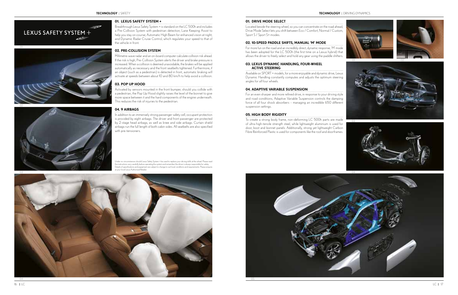![](_page_8_Picture_2.jpeg)

#### **01. LEXUS SAFETY SYSTEM +**

 Breakthrough Lexus Safety System + is standard on the LC 500h and includes a Pre-Collision System with pedestrian detection; Lane Keeping Assist to help you stay on course; Automatic High Beam for enhanced vision at night; and Dynamic Radar Cruise Control, which regulates your speed to that of the vehicle in front.

### **02. PRE-COLLISION SYSTEM**

 Millimetre-wave radar and an on-board computer calculate collision risk ahead. If the risk is high, Pre-Collision System alerts the driver and brake pressure is increased. When a collision is deemed unavoidable, the brakes will be applied automatically as necessary and the front seatbelts tightened. Furthermore, if an object (such as a pedestrian) is detected in front, automatic braking will activate at speeds between about 10 and 80 km/h to help avoid a collision.

 Located beside the steering wheel, so you can concentrate on the road ahead, Drive Mode Select lets you shift between Eco / Comfort, Normal / Custom, Sport S / Sport S+ modes.

#### **03. POP UP HOOD**

 Activated by sensors mounted in the front bumper, should you collide with a pedestrian, the Pop Up Hood slightly raises the level of the bonnet to give more space between it and the hard components of the engine underneath. This reduces the risk of injuries to the pedestrian.

#### **04. 9 AIRBAGS**

 In addition to an immensely strong passenger safety cell, occupant protection is provided by eight airbags. The driver and front passenger are protected by 2-stage head airbags, as well as knee and side airbags. Curtain shield airbags run the full length of both cabin sides. All seatbelts are also specified with pre-tensioners.

#### **01. DRIVE MODE SELECT**

#### **02. 10-SPEED PADDLE SHIFTS, MANUAL 'M' MODE**

 For more fun on the road and an incredibly direct, dynamic response, 'M' mode has been adopted for the LC 500h (the first time on a Lexus hybrid) that allows the driver to freely select and hold any gear using the paddle shifters.

#### **03. LEXUS DYNAMIC HANDLING, FOUR-WHEEL ACTIVE STEERING**

 Available on SPORT + models, for a more enjoyable and dynamic drive, Lexus Dynamic Handling constantly computes and adjusts the optimum steering angles for all four wheels.

#### **04. ADAPTIVE VARIABLE SUSPENSION**

 For an even sharper and more refined drive, in response to your driving style and road conditions, Adaptive Variable Suspension controls the damping force of all four shock absorbers – managing an incredible 650 different suspension settings.

#### **05. HIGH BODY RIGIDITY**

 To create a strong body frame, non-deforming LC 500h parts are made of ultra-high-tensile strength steel, while lightweight aluminium is used for door, boot and bonnet panels. Additionally, strong yet lightweight Carbon Fibre Reinforced Plastic is used for components like the roof and doorframes.

![](_page_8_Picture_4.jpeg)

![](_page_8_Picture_3.jpeg)

![](_page_8_Picture_27.jpeg)

![](_page_8_Picture_28.jpeg)

 Under no circumstances should Lexus Safety System + be used to replace your driving skills at the wheel. Please read the instructions very carefully before operating the system and remember the driver is always responsible for safety. Details of specifications and equipment are subject to change to suit local conditions and requirements. Please enquire at your local Lexus Authorised Retailer.

![](_page_8_Picture_14.jpeg)

![](_page_8_Picture_25.jpeg)

![](_page_8_Picture_29.jpeg)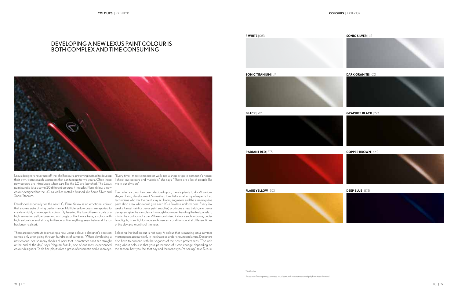![](_page_9_Picture_3.jpeg)

**SONIC TITANIUM | 1J7 DARK GRANITE | 1G0** 

![](_page_9_Picture_5.jpeg)

![](_page_9_Picture_7.jpeg)

![](_page_9_Picture_9.jpeg)

 **BLACK** | 2121 **GRAPHITE BLACK** | 223

 **RADIANT RED** | 3T5 **COPPER BROWN** | 4X2

#### **FLARE YELLOW** | 5C1 **DEEP BLUE** | 8X5

![](_page_9_Picture_11.jpeg)

1 Solid colour

Please note: Due to printing variances, actual paintwork colours may vary slightly from those illustrated.

### DEVELOPING A NEW LEXUS PAINT COLOUR IS BOTH COMPLEX AND TIME CONSUMING

![](_page_9_Picture_13.jpeg)

new colours are introduced when cars like the LC are launched. The Lexus me in our division." paint palette totals some 30 different colours: It includes Flare Yellow, a new colour designed for the LC, as well as metallic finished like Sonic Silver and Even after a colour has been decided upon, there's plenty to do. At various Sonic Titanium.

Lexus designers never use off-the-shelf colours, preferring instead to develop "Every time I meet someone or walk into a shop or go to someone's house, their own, from scratch, a process that can take up to two years. Often these I check out colours and materials," she says. "There are a lot of people like

Developed especially for the new LC, Flare Yellow is an emotional colour that evokes agile driving performance. Multiple yellow coats are applied to create a highly chromogenic colour. By layering the two different coats of a high saturation yellow base and a strongly brilliant mica base, a colour with has been realised.

There are no shortcuts to creating a new Lexus colour: a designer's decision Selecting the final colour is not easy. A colour that is dazzling on a summer comes only after going through hundreds of samples. "When developing a morning can appear sickly in the shade or under showroom lamps. Designers new colour I see so many shades of paint that I sometimes can't see straight also have to contend with the vagaries of their own preferences. "The odd at the end of the day," says Megumi Suzuki, one of our most experienced thing about colour is that your perception of it can change depending on colour designers. To do her job, it takes a grasp of chromatic and a keen eye. the season, how you feel that day and the trends you're seeing," says Suzuki.

high saturation and strong brilliance unlike anything seen before at Lexus floodlights, in sunlight, shade and overcast conditions, and at different times stages during development, Suzuki had to enlist a small army of experts: Lab technicians who mix the paint, clay sculptors, engineers and the assembly-line paint shop crew who would give each LC a flawless, uniform coat. Every few weeks Kansai Paint (a Lexus paint supplier) produces a new batch, and Lexus designers give the samples a thorough look-over, bending the test panels to mimic the contours of a car. All are scrutinised indoors and outdoors, under of the day and months of the year.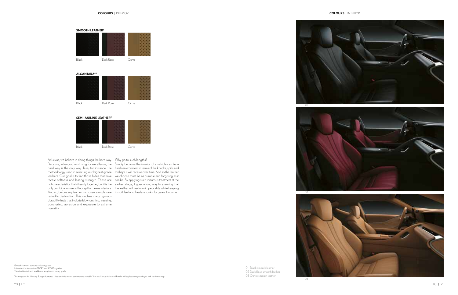$\overline{O}$ 

The images on the following 3 pages illustrate a selection of the interior combinations available. Your local Lexus Authorised Retailer will be pleased to provide you with any further help.

![](_page_10_Picture_8.jpeg)

![](_page_10_Picture_9.jpeg)

 At Lexus, we believe in doing things the hard way. Why go to such lengths? tested to destruction. This involves many rigorous durability tests that include blowtorching, freezing, puncturing, abrasion and exposure to extreme humidity.

Because, when you're striving for excellence, the Simply because the interior of a vehicle can be a hard way is the only way. Take, for instance, the harsh environment in terms of the knocks, spills and methodology used in selecting our highest-grade mishaps it will receive over time. And so the leather leathers. Our goal is to find those hides that have we choose must be as durable and forgiving as it tactile softness and lasting strength. These are can be. By applying such torturous treatment at the not characteristics that sit easily together, but it is the earliest stage, it goes a long way to ensuring that only combination we will accept for Lexus interiors. the leather will perform impeccably, while keeping And so, before any leather is chosen, samples are its soft feel and flawless looks, for years to come.

' Smooth leather is standard on Luxury grade.<br><sup>2</sup> Alcantara® is standard on SPORT and SPORT + grades. <sup>3</sup> Semi-aniline leather is available as an option on Luxury grade.

![](_page_10_Picture_11.jpeg)

![](_page_10_Picture_13.jpeg)

![](_page_10_Picture_14.jpeg)

![](_page_10_Figure_2.jpeg)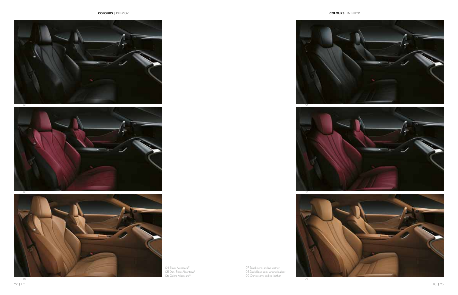![](_page_11_Picture_11.jpeg)

![](_page_11_Picture_2.jpeg)

04 Black Alcantara® 05 Dark Rose Alcantara® 06 Ochre Alcantara®

07 Black semi-aniline leather 08 Dark Rose semi-aniline leather 09 Ochre semi-aniline leather

![](_page_11_Picture_6.jpeg)

![](_page_11_Picture_7.jpeg)

![](_page_11_Picture_3.jpeg)

![](_page_11_Picture_8.jpeg)

![](_page_11_Picture_4.jpeg)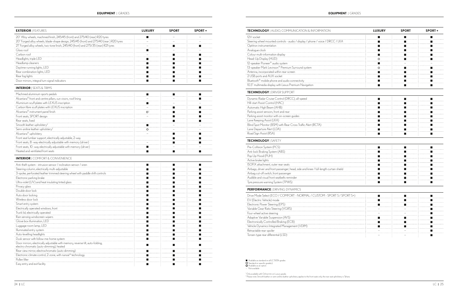| Available as standard on all LC 500h grades |
|---------------------------------------------|
| Standard on specific grade(s)               |
| $\bullet$ Available as an option            |
| – Not available                             |

1 Only available with Ochre trim on Luxury grade. 2 Please note: Smooth leather or semi-aniline leather upholstery applies to the front seats only; the rear seat upholstery is Tahara.

| <b>EXTERIOR   FEATURES</b>                                                              | <b>LUXURY</b> | <b>SPORT</b>                                                                                                   | SPORT+ |
|-----------------------------------------------------------------------------------------|---------------|----------------------------------------------------------------------------------------------------------------|--------|
| 20" Alloy wheels, machined finish, 245/45 (front) and 275/40 (rear) R20 tyres           |               |                                                                                                                |        |
| 20" Forged alloy wheels, blade-shape design, 245/45 (front) and 275/40 (rear) R20 tyres |               |                                                                                                                |        |
| 21" Forged alloy wheels, two-tone finish, 245/40 (front) and 275/35 (rear) R21 tyres    |               |                                                                                                                |        |
| Glass roof                                                                              |               |                                                                                                                |        |
| Carbon roof                                                                             |               |                                                                                                                |        |
| Headlights, triple LED                                                                  |               |                                                                                                                |        |
| Headlamp cleaners                                                                       |               |                                                                                                                |        |
| Daytime running lights, LED                                                             |               |                                                                                                                |        |
| Rear combination lights, LED                                                            |               |                                                                                                                |        |
| Rear fog lights                                                                         |               | ■                                                                                                              |        |
| Door mirrors, integral turn signal indicators                                           | ■             | ш                                                                                                              | ш      |
| <b>INTERIOR   SEATS &amp; TRIMS</b>                                                     |               |                                                                                                                |        |
| Machined aluminium sports pedals                                                        |               |                                                                                                                |        |
| Alcantara <sup>®</sup> front and centre pillars, sun visors, roof lining                |               |                                                                                                                |        |
| Aluminium scuff plates with LEXUS inscription                                           |               |                                                                                                                |        |
| Carbon fibre scuff plates with LEXUS inscription                                        |               |                                                                                                                |        |
| Alcantara® instrument panel finish                                                      | O1            |                                                                                                                |        |
| Front seats, SPORT design                                                               |               | ш                                                                                                              |        |
| Rear seats, fixed                                                                       |               | and the state of the state of the state of the state of the state of the state of the state of the state of th |        |
| Smooth leather upholstery <sup>2</sup>                                                  |               |                                                                                                                |        |
| Semi-aniline leather upholstery <sup>2</sup>                                            | $\circ$       |                                                                                                                |        |
| Alcantara® upholstery                                                                   |               |                                                                                                                |        |
| Front seat lumbar support, electrically adjustable, 2-way                               |               |                                                                                                                |        |
| Front seats, 8 -way electrically adjustable with memory (driver)                        |               |                                                                                                                |        |
| Front seats, 10 -way electrically adjustable with memory (driver)                       |               |                                                                                                                |        |
| Heated and ventilated front seats                                                       | ■             | ■                                                                                                              |        |
| <b>INTERIOR   COMFORT &amp; CONVENIENCE</b>                                             |               |                                                                                                                |        |
| Anti-theft system - intrusion sensor / inclination sensor / siren                       |               |                                                                                                                |        |
| Steering column, electrically multi-adjustable                                          |               |                                                                                                                |        |
| 3-spoke, perforated leather trimmed steering wheel with paddle shift controls           |               |                                                                                                                |        |
| Electronic parking brake                                                                |               |                                                                                                                |        |
| Ultra violet (UV) and heat insulating tinted glass                                      |               |                                                                                                                |        |
| Privacy glass                                                                           |               |                                                                                                                |        |

Double door lock van die see van die see van die see van die see van die see van die see van die see van die se Auto door locking vvv Wireless door lock vvv  $S$ mart entry system variation and  $\blacksquare$   $\blacksquare$ Electrically operated windows, front variables windows, front variables windows, front variables windows, front Trunk lid, electrically operated vvv Rain sensing windscreen wipers vvv Glove box illumination, LED vvv  $\Box$ Luggage room lamp, LED vv $\blacksquare$ Illuminated entry system vvv Auto-levelling headlights **various** Dusk sensor with follow-me-home system vvariance construction and the system variable construction  $\blacksquare$   $\blacksquare$ Door mirrors, electrically adjustable with memory, reverse tilt, auto-folding, electro chromatic (auto-dimming), heated vvv Rear-view mirror, electrochromatic (auto-dimming) vvariant surface and the set of the set of the set of the set of the set of the set of the set of the set of the set of the set of the set of the set of the set of the set Electronic climate control, 2-zone, with nanoe® technology variables are all and the control, 2-zone, with nanoe® technology variables are all and the control, 2-zone, with nanoe® technology variables are all and the contr Pollen filter van die staat van die stads van die stads van die stads van die stads van die stads van die stads<br>Pollen filter Easy entry and exit facility variables are all the contract of the contract of the contract of the contract of  $\blacksquare$ 

| <b>TECHNOLOGY</b>   AUDIO, COMMUNICATION & INFORMATION                                | <b>LUXURY</b>  | <b>SPORT</b>   | SPORT+ |
|---------------------------------------------------------------------------------------|----------------|----------------|--------|
| 12V socket                                                                            | ш              | $\blacksquare$ | п      |
| Steering wheel mounted controls - audio / display / phone / voice / DRCC / LKA        | $\blacksquare$ | ■              | ■      |
| Optitron instrumentation                                                              |                |                |        |
| Analogue clock                                                                        |                |                |        |
| Colour multi-information display                                                      | $\blacksquare$ | П              | ш      |
| Head-Up Display (HUD)                                                                 | $\circ$        | ■              | ш      |
| 12-speaker Pioneer® audio system                                                      | ш              |                |        |
| 13-speaker Mark Levinson® Premium Surround system                                     | o              |                |        |
| Antenna, incorporated within rear screen                                              | ш              | ■              | ■      |
| 2 USB ports and AUX socket                                                            | П              | ▉              | ■      |
| Bluetooth <sup>®</sup> mobile phone and audio connectivity                            | ш              | r.             |        |
| 10.3" multimedia display with Lexus Premium Navigation                                | ■              | ■              | ■      |
| <b>TECHNOLOGY   DRIVER SUPPORT</b>                                                    |                |                |        |
| Dynamic Radar Cruise Control (DRCC), all-speed                                        | ш              |                |        |
| Hill-start Assist Control (HAC)                                                       |                |                |        |
| Automatic High Beam (AHB)                                                             | ш              |                |        |
| Parking assist sensors, front and rear                                                | ш              | ■              | ш      |
| Parking assist monitor with on-screen guides                                          | $\blacksquare$ | ■              | ш      |
| Lane Keeping Assist (LKA)                                                             | $\blacksquare$ |                |        |
| Blind Spot Monitor (BSM) with Rear Cross Traffic Alert (RCTA)                         | $\blacksquare$ | ■              | ■      |
| Lane Departure Alert (LDA)                                                            | П              | ■              | ш      |
| Road Sign Assist (RSA)                                                                | ш              | ■              | ш      |
| <b>TECHNOLOGY   SAFETY</b>                                                            |                |                |        |
| Pre-Collision System (PCS)                                                            | $\blacksquare$ | ■              | ш      |
| Anti-lock Braking System (ABS)                                                        |                |                |        |
| Pop Up Hood (PUH)                                                                     |                |                |        |
| Active brake lights                                                                   |                |                |        |
| ISOFIX attachment, outer rear seats                                                   |                |                |        |
| Airbags, driver and front passenger; head, side and knee / full-length curtain shield | ■              |                |        |
| Airbag cut-off switch, front passenger                                                | ■              |                |        |
| Audible and visual front seatbelts reminder                                           | ■              | ■              |        |
| Tyre pressure warning System (TPWS)                                                   | ш              | ■              | ш      |
| PERFORMANCE   DRIVING DYNAMICS                                                        |                |                |        |
| Drive Mode Select (ECO / COMFORT - NORMAL / CUSTOM - SPORT S / SPORT S+)              | $\blacksquare$ | ■              |        |
| EV (Electric Vehicle) mode                                                            | ш              |                |        |
| Electronic Power Steering (EPS)                                                       |                |                |        |
| Variable Gear Ratio Steering (VGRS)                                                   |                |                |        |
| Four-wheel active steering                                                            |                |                | ■      |
| Adaptive Variable Suspension (AVS)                                                    |                |                | ш      |
| Electronically Controlled Braking (ECB)                                               |                |                |        |
| Vehicle Dynamics Integrated Management (VDIM)                                         | ■              |                |        |
| Retractable rear spoiler                                                              |                |                | ■      |
| Torsen-type rear differential (LSD)                                                   |                |                | ■      |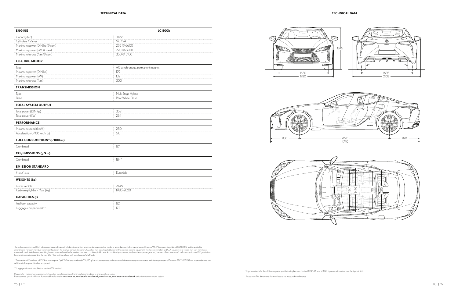1 Figure quoted is for the LC Luxury grade specified with glass roof. For the LC SPORT and SPORT + grades with carbon roof, the figure is 933

Please note: The dimensions illustrated above are measured in millimetres.

![](_page_13_Figure_9.jpeg)

1345

![](_page_13_Picture_10.jpeg)

![](_page_13_Picture_11.jpeg)

| <b>ENGINE</b>                    | <b>LC 500h</b>                   |
|----------------------------------|----------------------------------|
| Capacity (cc)                    | 3456                             |
| Cylinders / Valves               | V6/24                            |
| Maximum power (DIN hp @ rpm)     | 299@6600                         |
| Maximum power (kW@rpm)           | 220 @ 6600                       |
| Maximum torque (Nm @ rpm)        | 350 @ 5100                       |
| <b>ELECTRIC MOTOR</b>            |                                  |
| Type                             | AC synchronous, permanent magnet |
| Maximum power (DIN hp)           | 179                              |
| Maximum power (kW)               | 132                              |
| Maximum torque (Nm)              | 300                              |
| <b>TRANSMISSION</b>              |                                  |
| Type                             | Multi Stage Hybrid               |
| Drive                            | Rear-Wheel Drive                 |
| <b>TOTAL SYSTEM OUTPUT</b>       |                                  |
| Total power (DIN hp)             | 359                              |
| Total power (kW)                 | 264                              |
| <b>PERFORMANCE</b>               |                                  |
| Maximum speed (km/h)             | 250                              |
| Acceleration 0-100 km/h (s)      | 5,0                              |
| FUEL CONSUMPTION* (I/100km)      |                                  |
| Combined                         | $81*$                            |
| CO <sub>2</sub> EMISSIONS (g/km) |                                  |
| Combined                         | $184*$                           |
| <b>EMISSION STANDARD</b>         |                                  |
| Euro Class                       | Euro 6dg                         |
| <b>WEIGHTS (kg)</b>              |                                  |
| Gross vehicle                    | 2445                             |
| Kerb weight; Min. - Max. (kg)    | 1985-2020                        |
| <b>CAPACITIES (I)</b>            |                                  |
| Fuel tank capacity               | 82                               |
| Luggage compartment**            | 172                              |

The fuel consumption and CO<sub>2</sub> values are measured in a controlled environment on a representative production model, in accordance with the requirements of the new WLTP European Regulation EC 2017/1151 and its applicable<br>a

\* The combined Correlated NEDC fuel consumption 6,6 1/100km and combined CO<sub>2</sub> 150 g/km values are measured in a controlled environment, in accordance with the requirements of Directive EEC 2017/1152 incl. its amendments,

Please note: The information presented is based on manufacturer's preliminary data and is subject to charge without notice.<br>Please contact your local Lexus Authorised Retailer and/or **www.lexus.ee, www.lexus.ty, www.lexuss**